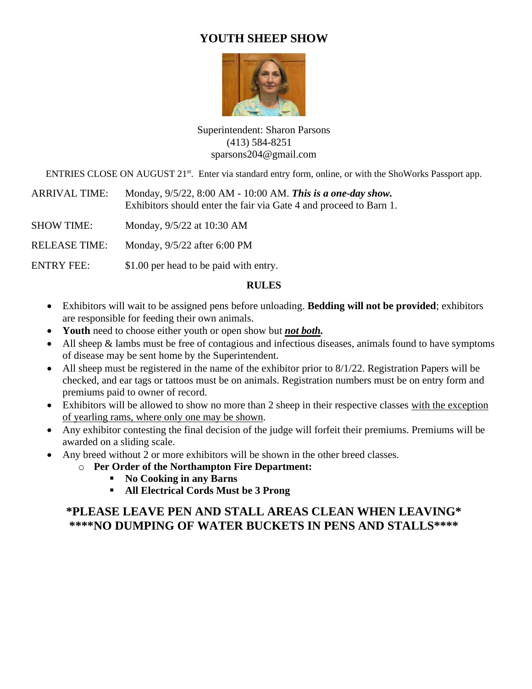## **YOUTH SHEEP SHOW**



Superintendent: Sharon Parsons (413) 584-8251 sparsons204@gmail.com

ENTRIES CLOSE ON AUGUST 21<sup>st</sup>. Enter via standard entry form, online, or with the ShoWorks Passport app.

ARRIVAL TIME: Monday, 9/5/22, 8:00 AM - 10:00 AM. *This is a one-day show.* Exhibitors should enter the fair via Gate 4 and proceed to Barn 1.

SHOW TIME: Monday, 9/5/22 at 10:30 AM

RELEASE TIME: Monday, 9/5/22 after 6:00 PM

ENTRY FEE:  $$1.00$  per head to be paid with entry.

#### **RULES**

- Exhibitors will wait to be assigned pens before unloading. **Bedding will not be provided**; exhibitors are responsible for feeding their own animals.
- **Youth** need to choose either youth or open show but *not both.*
- All sheep  $&$  lambs must be free of contagious and infectious diseases, animals found to have symptoms of disease may be sent home by the Superintendent.
- All sheep must be registered in the name of the exhibitor prior to 8/1/22. Registration Papers will be checked, and ear tags or tattoos must be on animals. Registration numbers must be on entry form and premiums paid to owner of record.
- Exhibitors will be allowed to show no more than 2 sheep in their respective classes with the exception of yearling rams, where only one may be shown.
- Any exhibitor contesting the final decision of the judge will forfeit their premiums. Premiums will be awarded on a sliding scale.
- Any breed without 2 or more exhibitors will be shown in the other breed classes.
	- o **Per Order of the Northampton Fire Department:**
		- **No Cooking in any Barns**
		- **All Electrical Cords Must be 3 Prong**

# **\*PLEASE LEAVE PEN AND STALL AREAS CLEAN WHEN LEAVING\* \*\*\*\*NO DUMPING OF WATER BUCKETS IN PENS AND STALLS\*\*\*\***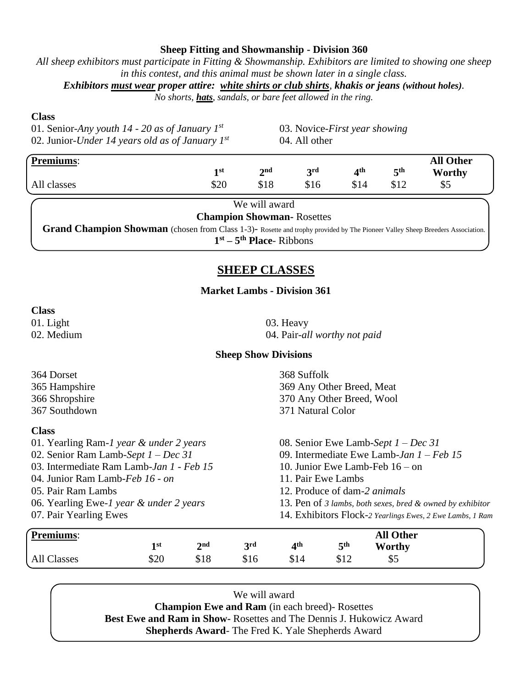#### **Sheep Fitting and Showmanship - Division 360**

*All sheep exhibitors must participate in Fitting & Showmanship. Exhibitors are limited to showing one sheep in this contest, and this animal must be shown later in a single class.*

*Exhibitors must wear proper attire: white shirts or club shirts, khakis or jeans (without holes).* 

*No shorts, hats, sandals, or bare feet allowed in the ring.*

#### **Class**

01. Senior-*Any youth 14 - 20 as of January 1st* 02. Junior-*Under 14 years old as of January 1st* 03. Novice-*First year showing* 04. All other

| Premiums:   |            |                 |            |      |     | <b>All Other</b> |
|-------------|------------|-----------------|------------|------|-----|------------------|
|             | 1st        | $2^{\text{nd}}$ | <b>2rd</b> | ⊿th  | ξth | Worthy           |
| All classes | ¢ኅ∩<br>D∠U | \$18            | \$16       | \$14 | Q12 | \$5              |

| We will award                                                                                                                 |
|-------------------------------------------------------------------------------------------------------------------------------|
| <b>Champion Showman-Rosettes</b>                                                                                              |
| Grand Champion Showman (chosen from Class 1-3)- Rosette and trophy provided by The Pioneer Valley Sheep Breeders Association. |
| $1st - 5th$ Place-Ribbons                                                                                                     |

### **SHEEP CLASSES**

#### **Market Lambs - Division 361**

#### **Class**

01. Light 03. Heavy

02. Medium 04. Pair-*all worthy not paid*

#### **Sheep Show Divisions**

|                                          | 1 <sup>st</sup> | 2 <sub>nd</sub>                                           | 3rd                                 | 4 <sup>th</sup>                                           | 5 <sup>th</sup>           | Worthy           |  |  |  |
|------------------------------------------|-----------------|-----------------------------------------------------------|-------------------------------------|-----------------------------------------------------------|---------------------------|------------------|--|--|--|
| <b>Premiums:</b>                         |                 |                                                           |                                     |                                                           |                           | <b>All Other</b> |  |  |  |
| 07. Pair Yearling Ewes                   |                 |                                                           |                                     | 14. Exhibitors Flock-2 Yearlings Ewes, 2 Ewe Lambs, 1 Ram |                           |                  |  |  |  |
| 06. Yearling Ewe-1 year & under 2 years  |                 | 13. Pen of 3 lambs, both sexes, bred & owned by exhibitor |                                     |                                                           |                           |                  |  |  |  |
| 05. Pair Ram Lambs                       |                 |                                                           | 12. Produce of dam-2 <i>animals</i> |                                                           |                           |                  |  |  |  |
| 04. Junior Ram Lamb-Feb 16 - on          |                 |                                                           |                                     |                                                           | 11. Pair Ewe Lambs        |                  |  |  |  |
| 03. Intermediate Ram Lamb-Jan 1 - Feb 15 |                 |                                                           | 10. Junior Ewe Lamb-Feb $16 - on$   |                                                           |                           |                  |  |  |  |
| 02. Senior Ram Lamb-Sept $1 - Dec 31$    |                 | 09. Intermediate Ewe Lamb-Jan $1 - Feb$ 15                |                                     |                                                           |                           |                  |  |  |  |
| 01. Yearling Ram-1 year & under 2 years  |                 | 08. Senior Ewe Lamb-Sept $1 - Dec 31$                     |                                     |                                                           |                           |                  |  |  |  |
| <b>Class</b>                             |                 |                                                           |                                     |                                                           |                           |                  |  |  |  |
| 367 Southdown                            |                 |                                                           |                                     | 371 Natural Color                                         |                           |                  |  |  |  |
| 366 Shropshire                           |                 |                                                           |                                     |                                                           | 370 Any Other Breed, Wool |                  |  |  |  |
| 365 Hampshire                            |                 |                                                           |                                     | 369 Any Other Breed, Meat                                 |                           |                  |  |  |  |
| 364 Dorset                               |                 |                                                           |                                     | 368 Suffolk                                               |                           |                  |  |  |  |

We will award **Champion Ewe and Ram** (in each breed)- Rosettes **Best Ewe and Ram in Show-** Rosettes and The Dennis J. Hukowicz Award **Shepherds Award**- The Fred K. Yale Shepherds Award

All Classes \$20 \$18 \$16 \$14 \$12 \$5